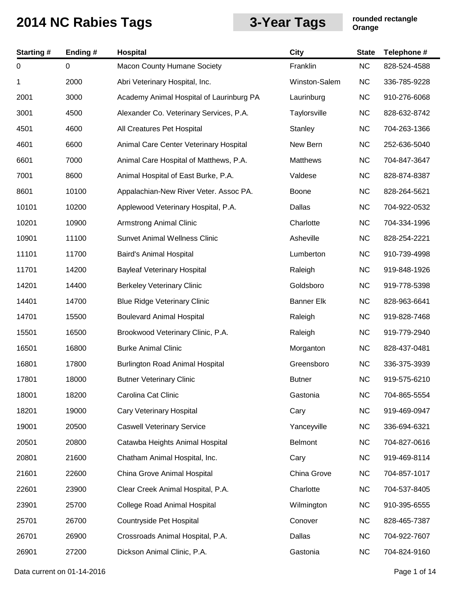| <b>Starting#</b> | Ending# | Hospital                                 | <b>City</b>       | <b>State</b> | Telephone #  |
|------------------|---------|------------------------------------------|-------------------|--------------|--------------|
| 0                | 0       | <b>Macon County Humane Society</b>       | Franklin          | NC           | 828-524-4588 |
| 1                | 2000    | Abri Veterinary Hospital, Inc.           | Winston-Salem     | <b>NC</b>    | 336-785-9228 |
| 2001             | 3000    | Academy Animal Hospital of Laurinburg PA | Laurinburg        | <b>NC</b>    | 910-276-6068 |
| 3001             | 4500    | Alexander Co. Veterinary Services, P.A.  | Taylorsville      | <b>NC</b>    | 828-632-8742 |
| 4501             | 4600    | All Creatures Pet Hospital               | Stanley           | <b>NC</b>    | 704-263-1366 |
| 4601             | 6600    | Animal Care Center Veterinary Hospital   | New Bern          | <b>NC</b>    | 252-636-5040 |
| 6601             | 7000    | Animal Care Hospital of Matthews, P.A.   | <b>Matthews</b>   | <b>NC</b>    | 704-847-3647 |
| 7001             | 8600    | Animal Hospital of East Burke, P.A.      | Valdese           | <b>NC</b>    | 828-874-8387 |
| 8601             | 10100   | Appalachian-New River Veter. Assoc PA.   | Boone             | <b>NC</b>    | 828-264-5621 |
| 10101            | 10200   | Applewood Veterinary Hospital, P.A.      | Dallas            | <b>NC</b>    | 704-922-0532 |
| 10201            | 10900   | <b>Armstrong Animal Clinic</b>           | Charlotte         | <b>NC</b>    | 704-334-1996 |
| 10901            | 11100   | <b>Sunvet Animal Wellness Clinic</b>     | Asheville         | <b>NC</b>    | 828-254-2221 |
| 11101            | 11700   | Baird's Animal Hospital                  | Lumberton         | <b>NC</b>    | 910-739-4998 |
| 11701            | 14200   | <b>Bayleaf Veterinary Hospital</b>       | Raleigh           | <b>NC</b>    | 919-848-1926 |
| 14201            | 14400   | <b>Berkeley Veterinary Clinic</b>        | Goldsboro         | <b>NC</b>    | 919-778-5398 |
| 14401            | 14700   | <b>Blue Ridge Veterinary Clinic</b>      | <b>Banner Elk</b> | <b>NC</b>    | 828-963-6641 |
| 14701            | 15500   | <b>Boulevard Animal Hospital</b>         | Raleigh           | <b>NC</b>    | 919-828-7468 |
| 15501            | 16500   | Brookwood Veterinary Clinic, P.A.        | Raleigh           | <b>NC</b>    | 919-779-2940 |
| 16501            | 16800   | <b>Burke Animal Clinic</b>               | Morganton         | <b>NC</b>    | 828-437-0481 |
| 16801            | 17800   | <b>Burlington Road Animal Hospital</b>   | Greensboro        | <b>NC</b>    | 336-375-3939 |
| 17801            | 18000   | <b>Butner Veterinary Clinic</b>          | <b>Butner</b>     | <b>NC</b>    | 919-575-6210 |
| 18001            | 18200   | Carolina Cat Clinic                      | Gastonia          | <b>NC</b>    | 704-865-5554 |
| 18201            | 19000   | <b>Cary Veterinary Hospital</b>          | Cary              | <b>NC</b>    | 919-469-0947 |
| 19001            | 20500   | <b>Caswell Veterinary Service</b>        | Yanceyville       | <b>NC</b>    | 336-694-6321 |
| 20501            | 20800   | Catawba Heights Animal Hospital          | <b>Belmont</b>    | <b>NC</b>    | 704-827-0616 |
| 20801            | 21600   | Chatham Animal Hospital, Inc.            | Cary              | <b>NC</b>    | 919-469-8114 |
| 21601            | 22600   | China Grove Animal Hospital              | China Grove       | <b>NC</b>    | 704-857-1017 |
| 22601            | 23900   | Clear Creek Animal Hospital, P.A.        | Charlotte         | <b>NC</b>    | 704-537-8405 |
| 23901            | 25700   | College Road Animal Hospital             | Wilmington        | <b>NC</b>    | 910-395-6555 |
| 25701            | 26700   | Countryside Pet Hospital                 | Conover           | <b>NC</b>    | 828-465-7387 |
| 26701            | 26900   | Crossroads Animal Hospital, P.A.         | Dallas            | <b>NC</b>    | 704-922-7607 |
| 26901            | 27200   | Dickson Animal Clinic, P.A.              | Gastonia          | <b>NC</b>    | 704-824-9160 |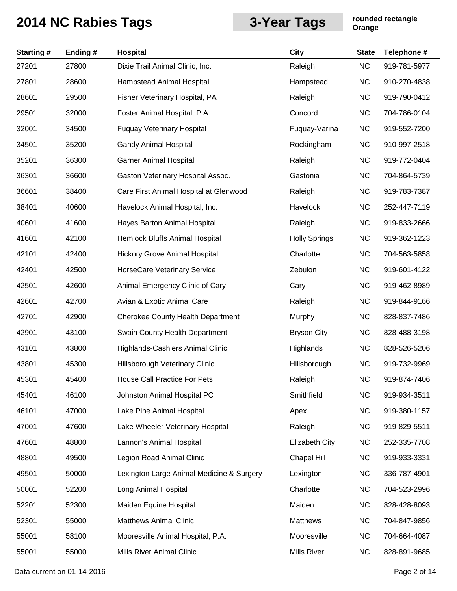| <b>Starting#</b> | Ending # | Hospital                                  | <b>City</b>           | <b>State</b> | Telephone #  |
|------------------|----------|-------------------------------------------|-----------------------|--------------|--------------|
| 27201            | 27800    | Dixie Trail Animal Clinic, Inc.           | Raleigh               | <b>NC</b>    | 919-781-5977 |
| 27801            | 28600    | Hampstead Animal Hospital                 | Hampstead             | <b>NC</b>    | 910-270-4838 |
| 28601            | 29500    | Fisher Veterinary Hospital, PA            | Raleigh               | <b>NC</b>    | 919-790-0412 |
| 29501            | 32000    | Foster Animal Hospital, P.A.              | Concord               | <b>NC</b>    | 704-786-0104 |
| 32001            | 34500    | <b>Fuquay Veterinary Hospital</b>         | Fuquay-Varina         | <b>NC</b>    | 919-552-7200 |
| 34501            | 35200    | <b>Gandy Animal Hospital</b>              | Rockingham            | <b>NC</b>    | 910-997-2518 |
| 35201            | 36300    | <b>Garner Animal Hospital</b>             | Raleigh               | <b>NC</b>    | 919-772-0404 |
| 36301            | 36600    | Gaston Veterinary Hospital Assoc.         | Gastonia              | <b>NC</b>    | 704-864-5739 |
| 36601            | 38400    | Care First Animal Hospital at Glenwood    | Raleigh               | <b>NC</b>    | 919-783-7387 |
| 38401            | 40600    | Havelock Animal Hospital, Inc.            | Havelock              | <b>NC</b>    | 252-447-7119 |
| 40601            | 41600    | Hayes Barton Animal Hospital              | Raleigh               | <b>NC</b>    | 919-833-2666 |
| 41601            | 42100    | Hemlock Bluffs Animal Hospital            | <b>Holly Springs</b>  | <b>NC</b>    | 919-362-1223 |
| 42101            | 42400    | <b>Hickory Grove Animal Hospital</b>      | Charlotte             | <b>NC</b>    | 704-563-5858 |
| 42401            | 42500    | HorseCare Veterinary Service              | Zebulon               | <b>NC</b>    | 919-601-4122 |
| 42501            | 42600    | Animal Emergency Clinic of Cary           | Cary                  | <b>NC</b>    | 919-462-8989 |
| 42601            | 42700    | Avian & Exotic Animal Care                | Raleigh               | <b>NC</b>    | 919-844-9166 |
| 42701            | 42900    | Cherokee County Health Department         | Murphy                | <b>NC</b>    | 828-837-7486 |
| 42901            | 43100    | Swain County Health Department            | <b>Bryson City</b>    | <b>NC</b>    | 828-488-3198 |
| 43101            | 43800    | Highlands-Cashiers Animal Clinic          | Highlands             | <b>NC</b>    | 828-526-5206 |
| 43801            | 45300    | Hillsborough Veterinary Clinic            | Hillsborough          | <b>NC</b>    | 919-732-9969 |
| 45301            | 45400    | House Call Practice For Pets              | Raleigh               | <b>NC</b>    | 919-874-7406 |
| 45401            | 46100    | Johnston Animal Hospital PC               | Smithfield            | <b>NC</b>    | 919-934-3511 |
| 46101            | 47000    | Lake Pine Animal Hospital                 | Apex                  | <b>NC</b>    | 919-380-1157 |
| 47001            | 47600    | Lake Wheeler Veterinary Hospital          | Raleigh               | <b>NC</b>    | 919-829-5511 |
| 47601            | 48800    | Lannon's Animal Hospital                  | <b>Elizabeth City</b> | <b>NC</b>    | 252-335-7708 |
| 48801            | 49500    | Legion Road Animal Clinic                 | <b>Chapel Hill</b>    | <b>NC</b>    | 919-933-3331 |
| 49501            | 50000    | Lexington Large Animal Medicine & Surgery | Lexington             | <b>NC</b>    | 336-787-4901 |
| 50001            | 52200    | Long Animal Hospital                      | Charlotte             | <b>NC</b>    | 704-523-2996 |
| 52201            | 52300    | Maiden Equine Hospital                    | Maiden                | <b>NC</b>    | 828-428-8093 |
| 52301            | 55000    | <b>Matthews Animal Clinic</b>             | Matthews              | <b>NC</b>    | 704-847-9856 |
| 55001            | 58100    | Mooresville Animal Hospital, P.A.         | Mooresville           | <b>NC</b>    | 704-664-4087 |
| 55001            | 55000    | Mills River Animal Clinic                 | Mills River           | <b>NC</b>    | 828-891-9685 |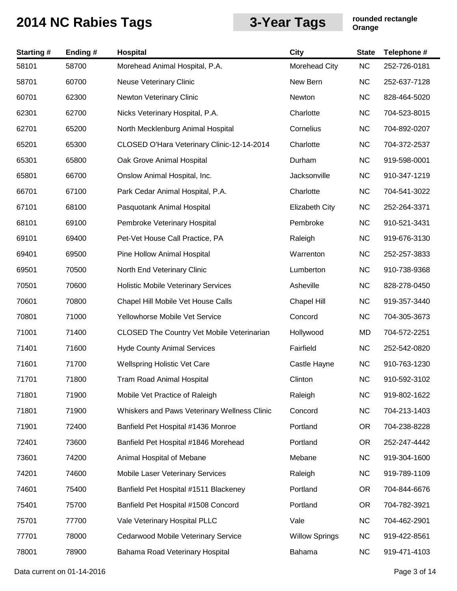| <b>Starting#</b> | Ending # | Hospital                                          | <b>City</b>           | <b>State</b> | Telephone #  |
|------------------|----------|---------------------------------------------------|-----------------------|--------------|--------------|
| 58101            | 58700    | Morehead Animal Hospital, P.A.                    | Morehead City         | <b>NC</b>    | 252-726-0181 |
| 58701            | 60700    | <b>Neuse Veterinary Clinic</b>                    | New Bern              | <b>NC</b>    | 252-637-7128 |
| 60701            | 62300    | Newton Veterinary Clinic                          | Newton                | <b>NC</b>    | 828-464-5020 |
| 62301            | 62700    | Nicks Veterinary Hospital, P.A.                   | Charlotte             | <b>NC</b>    | 704-523-8015 |
| 62701            | 65200    | North Mecklenburg Animal Hospital                 | Cornelius             | <b>NC</b>    | 704-892-0207 |
| 65201            | 65300    | CLOSED O'Hara Veterinary Clinic-12-14-2014        | Charlotte             | <b>NC</b>    | 704-372-2537 |
| 65301            | 65800    | Oak Grove Animal Hospital                         | Durham                | <b>NC</b>    | 919-598-0001 |
| 65801            | 66700    | Onslow Animal Hospital, Inc.                      | Jacksonville          | <b>NC</b>    | 910-347-1219 |
| 66701            | 67100    | Park Cedar Animal Hospital, P.A.                  | Charlotte             | <b>NC</b>    | 704-541-3022 |
| 67101            | 68100    | Pasquotank Animal Hospital                        | <b>Elizabeth City</b> | <b>NC</b>    | 252-264-3371 |
| 68101            | 69100    | Pembroke Veterinary Hospital                      | Pembroke              | <b>NC</b>    | 910-521-3431 |
| 69101            | 69400    | Pet-Vet House Call Practice, PA                   | Raleigh               | <b>NC</b>    | 919-676-3130 |
| 69401            | 69500    | Pine Hollow Animal Hospital                       | Warrenton             | <b>NC</b>    | 252-257-3833 |
| 69501            | 70500    | North End Veterinary Clinic                       | Lumberton             | <b>NC</b>    | 910-738-9368 |
| 70501            | 70600    | <b>Holistic Mobile Veterinary Services</b>        | Asheville             | <b>NC</b>    | 828-278-0450 |
| 70601            | 70800    | Chapel Hill Mobile Vet House Calls                | <b>Chapel Hill</b>    | <b>NC</b>    | 919-357-3440 |
| 70801            | 71000    | Yellowhorse Mobile Vet Service                    | Concord               | <b>NC</b>    | 704-305-3673 |
| 71001            | 71400    | <b>CLOSED The Country Vet Mobile Veterinarian</b> | Hollywood             | MD           | 704-572-2251 |
| 71401            | 71600    | <b>Hyde County Animal Services</b>                | Fairfield             | <b>NC</b>    | 252-542-0820 |
| 71601            | 71700    | <b>Wellspring Holistic Vet Care</b>               | Castle Hayne          | <b>NC</b>    | 910-763-1230 |
| 71701            | 71800    | <b>Tram Road Animal Hospital</b>                  | Clinton               | <b>NC</b>    | 910-592-3102 |
| 71801            | 71900    | Mobile Vet Practice of Raleigh                    | Raleigh               | <b>NC</b>    | 919-802-1622 |
| 71801            | 71900    | Whiskers and Paws Veterinary Wellness Clinic      | Concord               | <b>NC</b>    | 704-213-1403 |
| 71901            | 72400    | Banfield Pet Hospital #1436 Monroe                | Portland              | <b>OR</b>    | 704-238-8228 |
| 72401            | 73600    | Banfield Pet Hospital #1846 Morehead              | Portland              | <b>OR</b>    | 252-247-4442 |
| 73601            | 74200    | Animal Hospital of Mebane                         | Mebane                | <b>NC</b>    | 919-304-1600 |
| 74201            | 74600    | Mobile Laser Veterinary Services                  | Raleigh               | <b>NC</b>    | 919-789-1109 |
| 74601            | 75400    | Banfield Pet Hospital #1511 Blackeney             | Portland              | <b>OR</b>    | 704-844-6676 |
| 75401            | 75700    | Banfield Pet Hospital #1508 Concord               | Portland              | <b>OR</b>    | 704-782-3921 |
| 75701            | 77700    | Vale Veterinary Hospital PLLC                     | Vale                  | <b>NC</b>    | 704-462-2901 |
| 77701            | 78000    | Cedarwood Mobile Veterinary Service               | <b>Willow Springs</b> | <b>NC</b>    | 919-422-8561 |
| 78001            | 78900    | Bahama Road Veterinary Hospital                   | Bahama                | <b>NC</b>    | 919-471-4103 |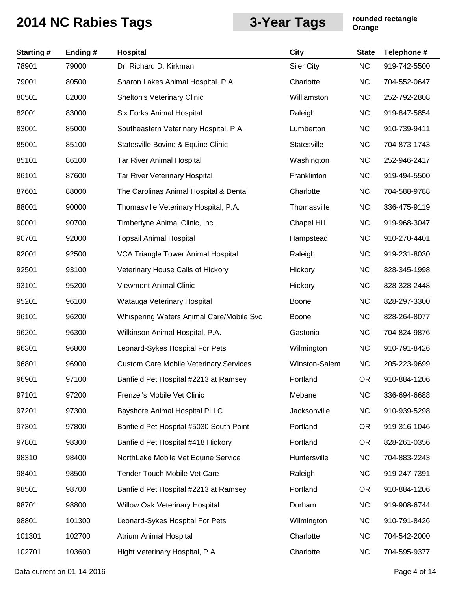| <b>Starting#</b> | Ending# | <b>Hospital</b>                               | <b>City</b>        | <b>State</b> | Telephone #  |
|------------------|---------|-----------------------------------------------|--------------------|--------------|--------------|
| 78901            | 79000   | Dr. Richard D. Kirkman                        | <b>Siler City</b>  | <b>NC</b>    | 919-742-5500 |
| 79001            | 80500   | Sharon Lakes Animal Hospital, P.A.            | Charlotte          | <b>NC</b>    | 704-552-0647 |
| 80501            | 82000   | Shelton's Veterinary Clinic                   | Williamston        | <b>NC</b>    | 252-792-2808 |
| 82001            | 83000   | Six Forks Animal Hospital                     | Raleigh            | <b>NC</b>    | 919-847-5854 |
| 83001            | 85000   | Southeastern Veterinary Hospital, P.A.        | Lumberton          | <b>NC</b>    | 910-739-9411 |
| 85001            | 85100   | Statesville Bovine & Equine Clinic            | Statesville        | <b>NC</b>    | 704-873-1743 |
| 85101            | 86100   | <b>Tar River Animal Hospital</b>              | Washington         | <b>NC</b>    | 252-946-2417 |
| 86101            | 87600   | Tar River Veterinary Hospital                 | Franklinton        | <b>NC</b>    | 919-494-5500 |
| 87601            | 88000   | The Carolinas Animal Hospital & Dental        | Charlotte          | <b>NC</b>    | 704-588-9788 |
| 88001            | 90000   | Thomasville Veterinary Hospital, P.A.         | Thomasville        | <b>NC</b>    | 336-475-9119 |
| 90001            | 90700   | Timberlyne Animal Clinic, Inc.                | <b>Chapel Hill</b> | <b>NC</b>    | 919-968-3047 |
| 90701            | 92000   | <b>Topsail Animal Hospital</b>                | Hampstead          | <b>NC</b>    | 910-270-4401 |
| 92001            | 92500   | VCA Triangle Tower Animal Hospital            | Raleigh            | <b>NC</b>    | 919-231-8030 |
| 92501            | 93100   | Veterinary House Calls of Hickory             | Hickory            | <b>NC</b>    | 828-345-1998 |
| 93101            | 95200   | <b>Viewmont Animal Clinic</b>                 | Hickory            | <b>NC</b>    | 828-328-2448 |
| 95201            | 96100   | Watauga Veterinary Hospital                   | Boone              | <b>NC</b>    | 828-297-3300 |
| 96101            | 96200   | Whispering Waters Animal Care/Mobile Svc      | <b>Boone</b>       | <b>NC</b>    | 828-264-8077 |
| 96201            | 96300   | Wilkinson Animal Hospital, P.A.               | Gastonia           | <b>NC</b>    | 704-824-9876 |
| 96301            | 96800   | Leonard-Sykes Hospital For Pets               | Wilmington         | <b>NC</b>    | 910-791-8426 |
| 96801            | 96900   | <b>Custom Care Mobile Veterinary Services</b> | Winston-Salem      | <b>NC</b>    | 205-223-9699 |
| 96901            | 97100   | Banfield Pet Hospital #2213 at Ramsey         | Portland           | <b>OR</b>    | 910-884-1206 |
| 97101            | 97200   | Frenzel's Mobile Vet Clinic                   | Mebane             | NC           | 336-694-6688 |
| 97201            | 97300   | <b>Bayshore Animal Hospital PLLC</b>          | Jacksonville       | <b>NC</b>    | 910-939-5298 |
| 97301            | 97800   | Banfield Pet Hospital #5030 South Point       | Portland           | <b>OR</b>    | 919-316-1046 |
| 97801            | 98300   | Banfield Pet Hospital #418 Hickory            | Portland           | <b>OR</b>    | 828-261-0356 |
| 98310            | 98400   | NorthLake Mobile Vet Equine Service           | Huntersville       | <b>NC</b>    | 704-883-2243 |
| 98401            | 98500   | Tender Touch Mobile Vet Care                  | Raleigh            | <b>NC</b>    | 919-247-7391 |
| 98501            | 98700   | Banfield Pet Hospital #2213 at Ramsey         | Portland           | <b>OR</b>    | 910-884-1206 |
| 98701            | 98800   | Willow Oak Veterinary Hospital                | Durham             | <b>NC</b>    | 919-908-6744 |
| 98801            | 101300  | Leonard-Sykes Hospital For Pets               | Wilmington         | <b>NC</b>    | 910-791-8426 |
| 101301           | 102700  | Atrium Animal Hospital                        | Charlotte          | <b>NC</b>    | 704-542-2000 |
| 102701           | 103600  | Hight Veterinary Hospital, P.A.               | Charlotte          | <b>NC</b>    | 704-595-9377 |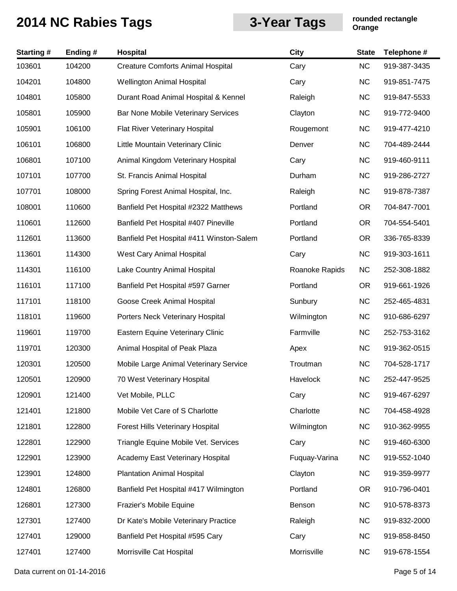| <b>Starting#</b> | Ending# | Hospital                                 | <b>City</b>    | <b>State</b> | Telephone #  |
|------------------|---------|------------------------------------------|----------------|--------------|--------------|
| 103601           | 104200  | <b>Creature Comforts Animal Hospital</b> | Cary           | NC           | 919-387-3435 |
| 104201           | 104800  | <b>Wellington Animal Hospital</b>        | Cary           | <b>NC</b>    | 919-851-7475 |
| 104801           | 105800  | Durant Road Animal Hospital & Kennel     | Raleigh        | <b>NC</b>    | 919-847-5533 |
| 105801           | 105900  | Bar None Mobile Veterinary Services      | Clayton        | <b>NC</b>    | 919-772-9400 |
| 105901           | 106100  | Flat River Veterinary Hospital           | Rougemont      | <b>NC</b>    | 919-477-4210 |
| 106101           | 106800  | Little Mountain Veterinary Clinic        | Denver         | <b>NC</b>    | 704-489-2444 |
| 106801           | 107100  | Animal Kingdom Veterinary Hospital       | Cary           | <b>NC</b>    | 919-460-9111 |
| 107101           | 107700  | St. Francis Animal Hospital              | Durham         | <b>NC</b>    | 919-286-2727 |
| 107701           | 108000  | Spring Forest Animal Hospital, Inc.      | Raleigh        | <b>NC</b>    | 919-878-7387 |
| 108001           | 110600  | Banfield Pet Hospital #2322 Matthews     | Portland       | <b>OR</b>    | 704-847-7001 |
| 110601           | 112600  | Banfield Pet Hospital #407 Pineville     | Portland       | <b>OR</b>    | 704-554-5401 |
| 112601           | 113600  | Banfield Pet Hospital #411 Winston-Salem | Portland       | <b>OR</b>    | 336-765-8339 |
| 113601           | 114300  | West Cary Animal Hospital                | Cary           | <b>NC</b>    | 919-303-1611 |
| 114301           | 116100  | Lake Country Animal Hospital             | Roanoke Rapids | <b>NC</b>    | 252-308-1882 |
| 116101           | 117100  | Banfield Pet Hospital #597 Garner        | Portland       | <b>OR</b>    | 919-661-1926 |
| 117101           | 118100  | Goose Creek Animal Hospital              | Sunbury        | <b>NC</b>    | 252-465-4831 |
| 118101           | 119600  | Porters Neck Veterinary Hospital         | Wilmington     | <b>NC</b>    | 910-686-6297 |
| 119601           | 119700  | Eastern Equine Veterinary Clinic         | Farmville      | <b>NC</b>    | 252-753-3162 |
| 119701           | 120300  | Animal Hospital of Peak Plaza            | Apex           | <b>NC</b>    | 919-362-0515 |
| 120301           | 120500  | Mobile Large Animal Veterinary Service   | Troutman       | <b>NC</b>    | 704-528-1717 |
| 120501           | 120900  | 70 West Veterinary Hospital              | Havelock       | <b>NC</b>    | 252-447-9525 |
| 120901           | 121400  | Vet Mobile, PLLC                         | Cary           | <b>NC</b>    | 919-467-6297 |
| 121401           | 121800  | Mobile Vet Care of S Charlotte           | Charlotte      | <b>NC</b>    | 704-458-4928 |
| 121801           | 122800  | Forest Hills Veterinary Hospital         | Wilmington     | <b>NC</b>    | 910-362-9955 |
| 122801           | 122900  | Triangle Equine Mobile Vet. Services     | Cary           | NC           | 919-460-6300 |
| 122901           | 123900  | Academy East Veterinary Hospital         | Fuquay-Varina  | <b>NC</b>    | 919-552-1040 |
| 123901           | 124800  | <b>Plantation Animal Hospital</b>        | Clayton        | <b>NC</b>    | 919-359-9977 |
| 124801           | 126800  | Banfield Pet Hospital #417 Wilmington    | Portland       | <b>OR</b>    | 910-796-0401 |
| 126801           | 127300  | Frazier's Mobile Equine                  | Benson         | <b>NC</b>    | 910-578-8373 |
| 127301           | 127400  | Dr Kate's Mobile Veterinary Practice     | Raleigh        | <b>NC</b>    | 919-832-2000 |
| 127401           | 129000  | Banfield Pet Hospital #595 Cary          | Cary           | <b>NC</b>    | 919-858-8450 |
| 127401           | 127400  | Morrisville Cat Hospital                 | Morrisville    | <b>NC</b>    | 919-678-1554 |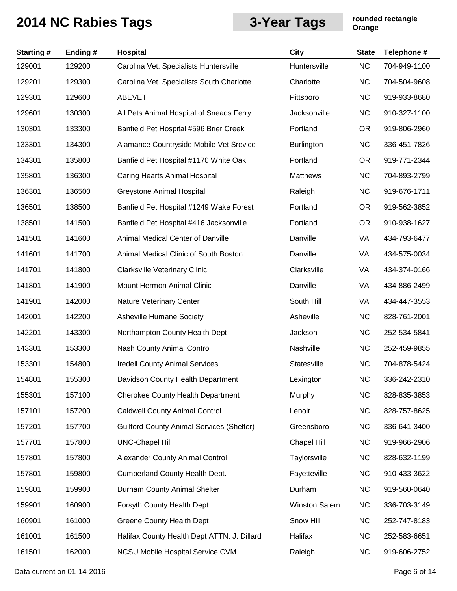| <b>Starting#</b> | Ending# | Hospital                                         | City                 | <b>State</b> | Telephone #  |
|------------------|---------|--------------------------------------------------|----------------------|--------------|--------------|
| 129001           | 129200  | Carolina Vet. Specialists Huntersville           | Huntersville         | <b>NC</b>    | 704-949-1100 |
| 129201           | 129300  | Carolina Vet. Specialists South Charlotte        | Charlotte            | <b>NC</b>    | 704-504-9608 |
| 129301           | 129600  | <b>ABEVET</b>                                    | Pittsboro            | <b>NC</b>    | 919-933-8680 |
| 129601           | 130300  | All Pets Animal Hospital of Sneads Ferry         | Jacksonville         | <b>NC</b>    | 910-327-1100 |
| 130301           | 133300  | Banfield Pet Hospital #596 Brier Creek           | Portland             | <b>OR</b>    | 919-806-2960 |
| 133301           | 134300  | Alamance Countryside Mobile Vet Srevice          | <b>Burlington</b>    | <b>NC</b>    | 336-451-7826 |
| 134301           | 135800  | Banfield Pet Hospital #1170 White Oak            | Portland             | <b>OR</b>    | 919-771-2344 |
| 135801           | 136300  | <b>Caring Hearts Animal Hospital</b>             | <b>Matthews</b>      | <b>NC</b>    | 704-893-2799 |
| 136301           | 136500  | <b>Greystone Animal Hospital</b>                 | Raleigh              | <b>NC</b>    | 919-676-1711 |
| 136501           | 138500  | Banfield Pet Hospital #1249 Wake Forest          | Portland             | <b>OR</b>    | 919-562-3852 |
| 138501           | 141500  | Banfield Pet Hospital #416 Jacksonville          | Portland             | <b>OR</b>    | 910-938-1627 |
| 141501           | 141600  | Animal Medical Center of Danville                | Danville             | VA           | 434-793-6477 |
| 141601           | 141700  | Animal Medical Clinic of South Boston            | Danville             | VA           | 434-575-0034 |
| 141701           | 141800  | <b>Clarksville Veterinary Clinic</b>             | Clarksville          | VA           | 434-374-0166 |
| 141801           | 141900  | Mount Hermon Animal Clinic                       | Danville             | VA           | 434-886-2499 |
| 141901           | 142000  | Nature Veterinary Center                         | South Hill           | VA           | 434-447-3553 |
| 142001           | 142200  | <b>Asheville Humane Society</b>                  | Asheville            | <b>NC</b>    | 828-761-2001 |
| 142201           | 143300  | Northampton County Health Dept                   | Jackson              | <b>NC</b>    | 252-534-5841 |
| 143301           | 153300  | Nash County Animal Control                       | Nashville            | <b>NC</b>    | 252-459-9855 |
| 153301           | 154800  | <b>Iredell County Animal Services</b>            | Statesville          | <b>NC</b>    | 704-878-5424 |
| 154801           | 155300  | Davidson County Health Department                | Lexington            | <b>NC</b>    | 336-242-2310 |
| 155301           | 157100  | <b>Cherokee County Health Department</b>         | Murphy               | <b>NC</b>    | 828-835-3853 |
| 157101           | 157200  | <b>Caldwell County Animal Control</b>            | Lenoir               | <b>NC</b>    | 828-757-8625 |
| 157201           | 157700  | <b>Guilford County Animal Services (Shelter)</b> | Greensboro           | <b>NC</b>    | 336-641-3400 |
| 157701           | 157800  | <b>UNC-Chapel Hill</b>                           | <b>Chapel Hill</b>   | <b>NC</b>    | 919-966-2906 |
| 157801           | 157800  | Alexander County Animal Control                  | Taylorsville         | <b>NC</b>    | 828-632-1199 |
| 157801           | 159800  | <b>Cumberland County Health Dept.</b>            | Fayetteville         | <b>NC</b>    | 910-433-3622 |
| 159801           | 159900  | Durham County Animal Shelter                     | Durham               | <b>NC</b>    | 919-560-0640 |
| 159901           | 160900  | Forsyth County Health Dept                       | <b>Winston Salem</b> | <b>NC</b>    | 336-703-3149 |
| 160901           | 161000  | <b>Greene County Health Dept</b>                 | Snow Hill            | <b>NC</b>    | 252-747-8183 |
| 161001           | 161500  | Halifax County Health Dept ATTN: J. Dillard      | Halifax              | <b>NC</b>    | 252-583-6651 |
| 161501           | 162000  | NCSU Mobile Hospital Service CVM                 | Raleigh              | <b>NC</b>    | 919-606-2752 |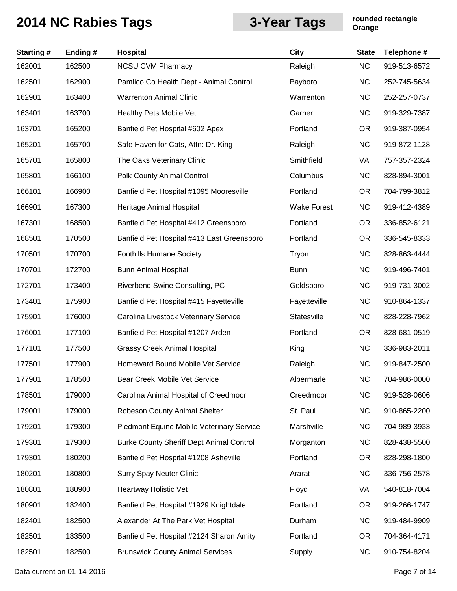| <b>Starting#</b> | Ending# | <b>Hospital</b>                                 | <b>City</b>        | <b>State</b> | Telephone #  |
|------------------|---------|-------------------------------------------------|--------------------|--------------|--------------|
| 162001           | 162500  | <b>NCSU CVM Pharmacy</b>                        | Raleigh            | <b>NC</b>    | 919-513-6572 |
| 162501           | 162900  | Pamlico Co Health Dept - Animal Control         | Bayboro            | <b>NC</b>    | 252-745-5634 |
| 162901           | 163400  | <b>Warrenton Animal Clinic</b>                  | Warrenton          | <b>NC</b>    | 252-257-0737 |
| 163401           | 163700  | Healthy Pets Mobile Vet                         | Garner             | <b>NC</b>    | 919-329-7387 |
| 163701           | 165200  | Banfield Pet Hospital #602 Apex                 | Portland           | <b>OR</b>    | 919-387-0954 |
| 165201           | 165700  | Safe Haven for Cats, Attn: Dr. King             | Raleigh            | <b>NC</b>    | 919-872-1128 |
| 165701           | 165800  | The Oaks Veterinary Clinic                      | Smithfield         | VA           | 757-357-2324 |
| 165801           | 166100  | Polk County Animal Control                      | Columbus           | <b>NC</b>    | 828-894-3001 |
| 166101           | 166900  | Banfield Pet Hospital #1095 Mooresville         | Portland           | <b>OR</b>    | 704-799-3812 |
| 166901           | 167300  | Heritage Animal Hospital                        | <b>Wake Forest</b> | <b>NC</b>    | 919-412-4389 |
| 167301           | 168500  | Banfield Pet Hospital #412 Greensboro           | Portland           | <b>OR</b>    | 336-852-6121 |
| 168501           | 170500  | Banfield Pet Hospital #413 East Greensboro      | Portland           | <b>OR</b>    | 336-545-8333 |
| 170501           | 170700  | <b>Foothills Humane Society</b>                 | Tryon              | <b>NC</b>    | 828-863-4444 |
| 170701           | 172700  | <b>Bunn Animal Hospital</b>                     | <b>Bunn</b>        | <b>NC</b>    | 919-496-7401 |
| 172701           | 173400  | Riverbend Swine Consulting, PC                  | Goldsboro          | <b>NC</b>    | 919-731-3002 |
| 173401           | 175900  | Banfield Pet Hospital #415 Fayetteville         | Fayetteville       | <b>NC</b>    | 910-864-1337 |
| 175901           | 176000  | Carolina Livestock Veterinary Service           | Statesville        | <b>NC</b>    | 828-228-7962 |
| 176001           | 177100  | Banfield Pet Hospital #1207 Arden               | Portland           | <b>OR</b>    | 828-681-0519 |
| 177101           | 177500  | <b>Grassy Creek Animal Hospital</b>             | King               | <b>NC</b>    | 336-983-2011 |
| 177501           | 177900  | Homeward Bound Mobile Vet Service               | Raleigh            | <b>NC</b>    | 919-847-2500 |
| 177901           | 178500  | Bear Creek Mobile Vet Service                   | Albermarle         | NC           | 704-986-0000 |
| 178501           | 179000  | Carolina Animal Hospital of Creedmoor           | Creedmoor          | <b>NC</b>    | 919-528-0606 |
| 179001           | 179000  | Robeson County Animal Shelter                   | St. Paul           | <b>NC</b>    | 910-865-2200 |
| 179201           | 179300  | Piedmont Equine Mobile Veterinary Service       | Marshville         | <b>NC</b>    | 704-989-3933 |
| 179301           | 179300  | <b>Burke County Sheriff Dept Animal Control</b> | Morganton          | <b>NC</b>    | 828-438-5500 |
| 179301           | 180200  | Banfield Pet Hospital #1208 Asheville           | Portland           | <b>OR</b>    | 828-298-1800 |
| 180201           | 180800  | <b>Surry Spay Neuter Clinic</b>                 | Ararat             | <b>NC</b>    | 336-756-2578 |
| 180801           | 180900  | Heartway Holistic Vet                           | Floyd              | VA           | 540-818-7004 |
| 180901           | 182400  | Banfield Pet Hospital #1929 Knightdale          | Portland           | <b>OR</b>    | 919-266-1747 |
| 182401           | 182500  | Alexander At The Park Vet Hospital              | Durham             | <b>NC</b>    | 919-484-9909 |
| 182501           | 183500  | Banfield Pet Hospital #2124 Sharon Amity        | Portland           | <b>OR</b>    | 704-364-4171 |
| 182501           | 182500  | <b>Brunswick County Animal Services</b>         | Supply             | <b>NC</b>    | 910-754-8204 |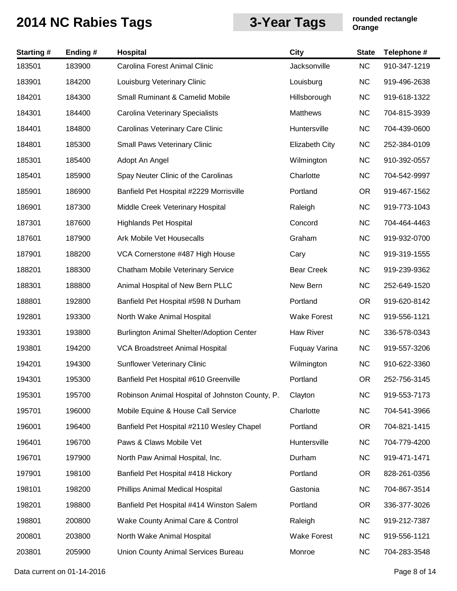| <b>Starting#</b> | Ending# | <b>Hospital</b>                                 | <b>City</b>           | <b>State</b> | Telephone #  |
|------------------|---------|-------------------------------------------------|-----------------------|--------------|--------------|
| 183501           | 183900  | Carolina Forest Animal Clinic                   | Jacksonville          | <b>NC</b>    | 910-347-1219 |
| 183901           | 184200  | Louisburg Veterinary Clinic                     | Louisburg             | <b>NC</b>    | 919-496-2638 |
| 184201           | 184300  | <b>Small Ruminant &amp; Camelid Mobile</b>      | Hillsborough          | <b>NC</b>    | 919-618-1322 |
| 184301           | 184400  | Carolina Veterinary Specialists                 | <b>Matthews</b>       | <b>NC</b>    | 704-815-3939 |
| 184401           | 184800  | Carolinas Veterinary Care Clinic                | Huntersville          | <b>NC</b>    | 704-439-0600 |
| 184801           | 185300  | <b>Small Paws Veterinary Clinic</b>             | <b>Elizabeth City</b> | <b>NC</b>    | 252-384-0109 |
| 185301           | 185400  | Adopt An Angel                                  | Wilmington            | <b>NC</b>    | 910-392-0557 |
| 185401           | 185900  | Spay Neuter Clinic of the Carolinas             | Charlotte             | <b>NC</b>    | 704-542-9997 |
| 185901           | 186900  | Banfield Pet Hospital #2229 Morrisville         | Portland              | <b>OR</b>    | 919-467-1562 |
| 186901           | 187300  | Middle Creek Veterinary Hospital                | Raleigh               | <b>NC</b>    | 919-773-1043 |
| 187301           | 187600  | <b>Highlands Pet Hospital</b>                   | Concord               | <b>NC</b>    | 704-464-4463 |
| 187601           | 187900  | Ark Mobile Vet Housecalls                       | Graham                | <b>NC</b>    | 919-932-0700 |
| 187901           | 188200  | VCA Cornerstone #487 High House                 | Cary                  | <b>NC</b>    | 919-319-1555 |
| 188201           | 188300  | Chatham Mobile Veterinary Service               | <b>Bear Creek</b>     | <b>NC</b>    | 919-239-9362 |
| 188301           | 188800  | Animal Hospital of New Bern PLLC                | New Bern              | <b>NC</b>    | 252-649-1520 |
| 188801           | 192800  | Banfield Pet Hospital #598 N Durham             | Portland              | <b>OR</b>    | 919-620-8142 |
| 192801           | 193300  | North Wake Animal Hospital                      | <b>Wake Forest</b>    | <b>NC</b>    | 919-556-1121 |
| 193301           | 193800  | Burlington Animal Shelter/Adoption Center       | Haw River             | <b>NC</b>    | 336-578-0343 |
| 193801           | 194200  | VCA Broadstreet Animal Hospital                 | Fuquay Varina         | <b>NC</b>    | 919-557-3206 |
| 194201           | 194300  | <b>Sunflower Veterinary Clinic</b>              | Wilmington            | <b>NC</b>    | 910-622-3360 |
| 194301           | 195300  | Banfield Pet Hospital #610 Greenville           | Portland              | <b>OR</b>    | 252-756-3145 |
| 195301           | 195700  | Robinson Animal Hospital of Johnston County, P. | Clayton               | <b>NC</b>    | 919-553-7173 |
| 195701           | 196000  | Mobile Equine & House Call Service              | Charlotte             | <b>NC</b>    | 704-541-3966 |
| 196001           | 196400  | Banfield Pet Hospital #2110 Wesley Chapel       | Portland              | <b>OR</b>    | 704-821-1415 |
| 196401           | 196700  | Paws & Claws Mobile Vet                         | Huntersville          | <b>NC</b>    | 704-779-4200 |
| 196701           | 197900  | North Paw Animal Hospital, Inc.                 | Durham                | <b>NC</b>    | 919-471-1471 |
| 197901           | 198100  | Banfield Pet Hospital #418 Hickory              | Portland              | OR.          | 828-261-0356 |
| 198101           | 198200  | Phillips Animal Medical Hospital                | Gastonia              | <b>NC</b>    | 704-867-3514 |
| 198201           | 198800  | Banfield Pet Hospital #414 Winston Salem        | Portland              | OR.          | 336-377-3026 |
| 198801           | 200800  | Wake County Animal Care & Control               | Raleigh               | <b>NC</b>    | 919-212-7387 |
| 200801           | 203800  | North Wake Animal Hospital                      | <b>Wake Forest</b>    | <b>NC</b>    | 919-556-1121 |
| 203801           | 205900  | Union County Animal Services Bureau             | Monroe                | <b>NC</b>    | 704-283-3548 |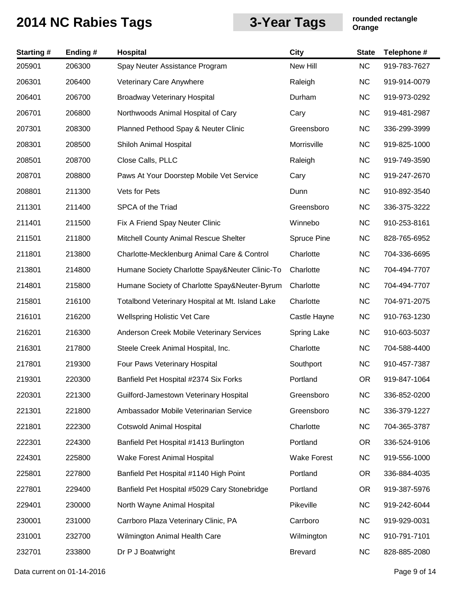| <b>Starting#</b> | Ending# | Hospital                                         | City               | <b>State</b> | Telephone #  |
|------------------|---------|--------------------------------------------------|--------------------|--------------|--------------|
| 205901           | 206300  | Spay Neuter Assistance Program                   | New Hill           | <b>NC</b>    | 919-783-7627 |
| 206301           | 206400  | Veterinary Care Anywhere                         | Raleigh            | <b>NC</b>    | 919-914-0079 |
| 206401           | 206700  | <b>Broadway Veterinary Hospital</b>              | Durham             | <b>NC</b>    | 919-973-0292 |
| 206701           | 206800  | Northwoods Animal Hospital of Cary               | Cary               | <b>NC</b>    | 919-481-2987 |
| 207301           | 208300  | Planned Pethood Spay & Neuter Clinic             | Greensboro         | <b>NC</b>    | 336-299-3999 |
| 208301           | 208500  | Shiloh Animal Hospital                           | Morrisville        | <b>NC</b>    | 919-825-1000 |
| 208501           | 208700  | Close Calls, PLLC                                | Raleigh            | <b>NC</b>    | 919-749-3590 |
| 208701           | 208800  | Paws At Your Doorstep Mobile Vet Service         | Cary               | <b>NC</b>    | 919-247-2670 |
| 208801           | 211300  | Vets for Pets                                    | Dunn               | <b>NC</b>    | 910-892-3540 |
| 211301           | 211400  | SPCA of the Triad                                | Greensboro         | <b>NC</b>    | 336-375-3222 |
| 211401           | 211500  | Fix A Friend Spay Neuter Clinic                  | Winnebo            | <b>NC</b>    | 910-253-8161 |
| 211501           | 211800  | Mitchell County Animal Rescue Shelter            | Spruce Pine        | <b>NC</b>    | 828-765-6952 |
| 211801           | 213800  | Charlotte-Mecklenburg Animal Care & Control      | Charlotte          | <b>NC</b>    | 704-336-6695 |
| 213801           | 214800  | Humane Society Charlotte Spay&Neuter Clinic-To   | Charlotte          | <b>NC</b>    | 704-494-7707 |
| 214801           | 215800  | Humane Society of Charlotte Spay&Neuter-Byrum    | Charlotte          | <b>NC</b>    | 704-494-7707 |
| 215801           | 216100  | Totalbond Veterinary Hospital at Mt. Island Lake | Charlotte          | <b>NC</b>    | 704-971-2075 |
| 216101           | 216200  | <b>Wellspring Holistic Vet Care</b>              | Castle Hayne       | <b>NC</b>    | 910-763-1230 |
| 216201           | 216300  | <b>Anderson Creek Mobile Veterinary Services</b> | <b>Spring Lake</b> | <b>NC</b>    | 910-603-5037 |
| 216301           | 217800  | Steele Creek Animal Hospital, Inc.               | Charlotte          | <b>NC</b>    | 704-588-4400 |
| 217801           | 219300  | Four Paws Veterinary Hospital                    | Southport          | <b>NC</b>    | 910-457-7387 |
| 219301           | 220300  | Banfield Pet Hospital #2374 Six Forks            | Portland           | <b>OR</b>    | 919-847-1064 |
| 220301           | 221300  | Guilford-Jamestown Veterinary Hospital           | Greensboro         | <b>NC</b>    | 336-852-0200 |
| 221301           | 221800  | Ambassador Mobile Veterinarian Service           | Greensboro         | <b>NC</b>    | 336-379-1227 |
| 221801           | 222300  | <b>Cotswold Animal Hospital</b>                  | Charlotte          | <b>NC</b>    | 704-365-3787 |
| 222301           | 224300  | Banfield Pet Hospital #1413 Burlington           | Portland           | <b>OR</b>    | 336-524-9106 |
| 224301           | 225800  | Wake Forest Animal Hospital                      | <b>Wake Forest</b> | <b>NC</b>    | 919-556-1000 |
| 225801           | 227800  | Banfield Pet Hospital #1140 High Point           | Portland           | OR.          | 336-884-4035 |
| 227801           | 229400  | Banfield Pet Hospital #5029 Cary Stonebridge     | Portland           | <b>OR</b>    | 919-387-5976 |
| 229401           | 230000  | North Wayne Animal Hospital                      | Pikeville          | <b>NC</b>    | 919-242-6044 |
| 230001           | 231000  | Carrboro Plaza Veterinary Clinic, PA             | Carrboro           | <b>NC</b>    | 919-929-0031 |
| 231001           | 232700  | Wilmington Animal Health Care                    | Wilmington         | <b>NC</b>    | 910-791-7101 |
| 232701           | 233800  | Dr P J Boatwright                                | <b>Brevard</b>     | <b>NC</b>    | 828-885-2080 |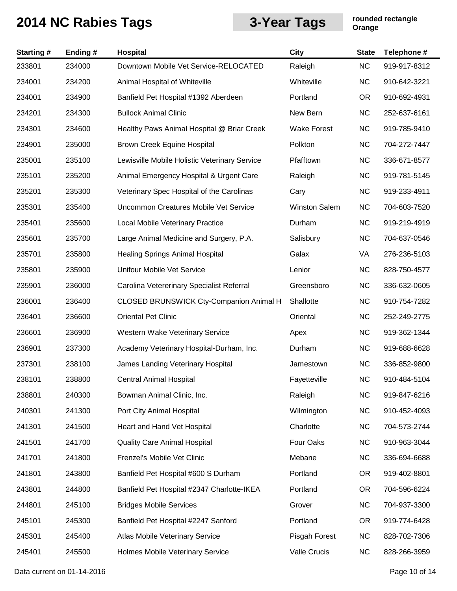| <b>Starting#</b> | Ending# | <b>Hospital</b>                                | <b>City</b>          | <b>State</b> | Telephone #  |
|------------------|---------|------------------------------------------------|----------------------|--------------|--------------|
| 233801           | 234000  | Downtown Mobile Vet Service-RELOCATED          | Raleigh              | <b>NC</b>    | 919-917-8312 |
| 234001           | 234200  | Animal Hospital of Whiteville                  | Whiteville           | <b>NC</b>    | 910-642-3221 |
| 234001           | 234900  | Banfield Pet Hospital #1392 Aberdeen           | Portland             | OR.          | 910-692-4931 |
| 234201           | 234300  | <b>Bullock Animal Clinic</b>                   | New Bern             | <b>NC</b>    | 252-637-6161 |
| 234301           | 234600  | Healthy Paws Animal Hospital @ Briar Creek     | <b>Wake Forest</b>   | <b>NC</b>    | 919-785-9410 |
| 234901           | 235000  | Brown Creek Equine Hospital                    | Polkton              | <b>NC</b>    | 704-272-7447 |
| 235001           | 235100  | Lewisville Mobile Holistic Veterinary Service  | Pfafftown            | <b>NC</b>    | 336-671-8577 |
| 235101           | 235200  | Animal Emergency Hospital & Urgent Care        | Raleigh              | <b>NC</b>    | 919-781-5145 |
| 235201           | 235300  | Veterinary Spec Hospital of the Carolinas      | Cary                 | <b>NC</b>    | 919-233-4911 |
| 235301           | 235400  | Uncommon Creatures Mobile Vet Service          | <b>Winston Salem</b> | <b>NC</b>    | 704-603-7520 |
| 235401           | 235600  | <b>Local Mobile Veterinary Practice</b>        | Durham               | <b>NC</b>    | 919-219-4919 |
| 235601           | 235700  | Large Animal Medicine and Surgery, P.A.        | Salisbury            | <b>NC</b>    | 704-637-0546 |
| 235701           | 235800  | <b>Healing Springs Animal Hospital</b>         | Galax                | VA           | 276-236-5103 |
| 235801           | 235900  | Unifour Mobile Vet Service                     | Lenior               | <b>NC</b>    | 828-750-4577 |
| 235901           | 236000  | Carolina Vetererinary Specialist Referral      | Greensboro           | <b>NC</b>    | 336-632-0605 |
| 236001           | 236400  | <b>CLOSED BRUNSWICK Cty-Companion Animal H</b> | Shallotte            | <b>NC</b>    | 910-754-7282 |
| 236401           | 236600  | <b>Oriental Pet Clinic</b>                     | Oriental             | <b>NC</b>    | 252-249-2775 |
| 236601           | 236900  | Western Wake Veterinary Service                | Apex                 | <b>NC</b>    | 919-362-1344 |
| 236901           | 237300  | Academy Veterinary Hospital-Durham, Inc.       | Durham               | <b>NC</b>    | 919-688-6628 |
| 237301           | 238100  | James Landing Veterinary Hospital              | Jamestown            | <b>NC</b>    | 336-852-9800 |
| 238101           | 238800  | Central Animal Hospital                        | Fayetteville         | <b>NC</b>    | 910-484-5104 |
| 238801           | 240300  | Bowman Animal Clinic, Inc.                     | Raleigh              | <b>NC</b>    | 919-847-6216 |
| 240301           | 241300  | Port City Animal Hospital                      | Wilmington           | NC           | 910-452-4093 |
| 241301           | 241500  | Heart and Hand Vet Hospital                    | Charlotte            | NC           | 704-573-2744 |
| 241501           | 241700  | <b>Quality Care Animal Hospital</b>            | Four Oaks            | NC           | 910-963-3044 |
| 241701           | 241800  | Frenzel's Mobile Vet Clinic                    | Mebane               | <b>NC</b>    | 336-694-6688 |
| 241801           | 243800  | Banfield Pet Hospital #600 S Durham            | Portland             | OR.          | 919-402-8801 |
| 243801           | 244800  | Banfield Pet Hospital #2347 Charlotte-IKEA     | Portland             | OR.          | 704-596-6224 |
| 244801           | 245100  | <b>Bridges Mobile Services</b>                 | Grover               | <b>NC</b>    | 704-937-3300 |
| 245101           | 245300  | Banfield Pet Hospital #2247 Sanford            | Portland             | OR.          | 919-774-6428 |
| 245301           | 245400  | Atlas Mobile Veterinary Service                | Pisgah Forest        | NC           | 828-702-7306 |
| 245401           | 245500  | Holmes Mobile Veterinary Service               | Valle Crucis         | <b>NC</b>    | 828-266-3959 |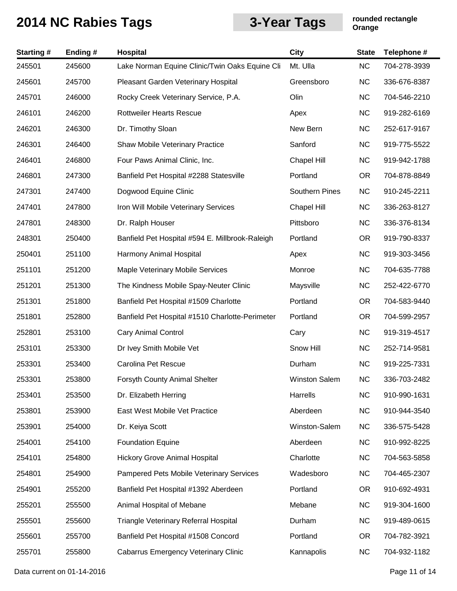| <b>Starting#</b> | Ending# | Hospital                                        | City                  | <b>State</b> | Telephone #  |
|------------------|---------|-------------------------------------------------|-----------------------|--------------|--------------|
| 245501           | 245600  | Lake Norman Equine Clinic/Twin Oaks Equine Cli  | Mt. Ulla              | <b>NC</b>    | 704-278-3939 |
| 245601           | 245700  | Pleasant Garden Veterinary Hospital             | Greensboro            | <b>NC</b>    | 336-676-8387 |
| 245701           | 246000  | Rocky Creek Veterinary Service, P.A.            | Olin                  | <b>NC</b>    | 704-546-2210 |
| 246101           | 246200  | <b>Rottweiler Hearts Rescue</b>                 | Apex                  | <b>NC</b>    | 919-282-6169 |
| 246201           | 246300  | Dr. Timothy Sloan                               | New Bern              | <b>NC</b>    | 252-617-9167 |
| 246301           | 246400  | Shaw Mobile Veterinary Practice                 | Sanford               | <b>NC</b>    | 919-775-5522 |
| 246401           | 246800  | Four Paws Animal Clinic, Inc.                   | Chapel Hill           | <b>NC</b>    | 919-942-1788 |
| 246801           | 247300  | Banfield Pet Hospital #2288 Statesville         | Portland              | <b>OR</b>    | 704-878-8849 |
| 247301           | 247400  | Dogwood Equine Clinic                           | <b>Southern Pines</b> | <b>NC</b>    | 910-245-2211 |
| 247401           | 247800  | Iron Will Mobile Veterinary Services            | <b>Chapel Hill</b>    | <b>NC</b>    | 336-263-8127 |
| 247801           | 248300  | Dr. Ralph Houser                                | Pittsboro             | <b>NC</b>    | 336-376-8134 |
| 248301           | 250400  | Banfield Pet Hospital #594 E. Millbrook-Raleigh | Portland              | <b>OR</b>    | 919-790-8337 |
| 250401           | 251100  | Harmony Animal Hospital                         | Apex                  | <b>NC</b>    | 919-303-3456 |
| 251101           | 251200  | Maple Veterinary Mobile Services                | Monroe                | <b>NC</b>    | 704-635-7788 |
| 251201           | 251300  | The Kindness Mobile Spay-Neuter Clinic          | Maysville             | <b>NC</b>    | 252-422-6770 |
| 251301           | 251800  | Banfield Pet Hospital #1509 Charlotte           | Portland              | <b>OR</b>    | 704-583-9440 |
| 251801           | 252800  | Banfield Pet Hospital #1510 Charlotte-Perimeter | Portland              | <b>OR</b>    | 704-599-2957 |
| 252801           | 253100  | <b>Cary Animal Control</b>                      | Cary                  | <b>NC</b>    | 919-319-4517 |
| 253101           | 253300  | Dr Ivey Smith Mobile Vet                        | Snow Hill             | <b>NC</b>    | 252-714-9581 |
| 253301           | 253400  | Carolina Pet Rescue                             | Durham                | <b>NC</b>    | 919-225-7331 |
| 253301           | 253800  | Forsyth County Animal Shelter                   | Winston Salem         | <b>NC</b>    | 336-703-2482 |
| 253401           | 253500  | Dr. Elizabeth Herring                           | Harrells              | <b>NC</b>    | 910-990-1631 |
| 253801           | 253900  | East West Mobile Vet Practice                   | Aberdeen              | <b>NC</b>    | 910-944-3540 |
| 253901           | 254000  | Dr. Keiya Scott                                 | Winston-Salem         | <b>NC</b>    | 336-575-5428 |
| 254001           | 254100  | <b>Foundation Equine</b>                        | Aberdeen              | <b>NC</b>    | 910-992-8225 |
| 254101           | 254800  | <b>Hickory Grove Animal Hospital</b>            | Charlotte             | <b>NC</b>    | 704-563-5858 |
| 254801           | 254900  | Pampered Pets Mobile Veterinary Services        | Wadesboro             | <b>NC</b>    | 704-465-2307 |
| 254901           | 255200  | Banfield Pet Hospital #1392 Aberdeen            | Portland              | <b>OR</b>    | 910-692-4931 |
| 255201           | 255500  | Animal Hospital of Mebane                       | Mebane                | <b>NC</b>    | 919-304-1600 |
| 255501           | 255600  | Triangle Veterinary Referral Hospital           | Durham                | <b>NC</b>    | 919-489-0615 |
| 255601           | 255700  | Banfield Pet Hospital #1508 Concord             | Portland              | <b>OR</b>    | 704-782-3921 |
| 255701           | 255800  | <b>Cabarrus Emergency Veterinary Clinic</b>     | Kannapolis            | <b>NC</b>    | 704-932-1182 |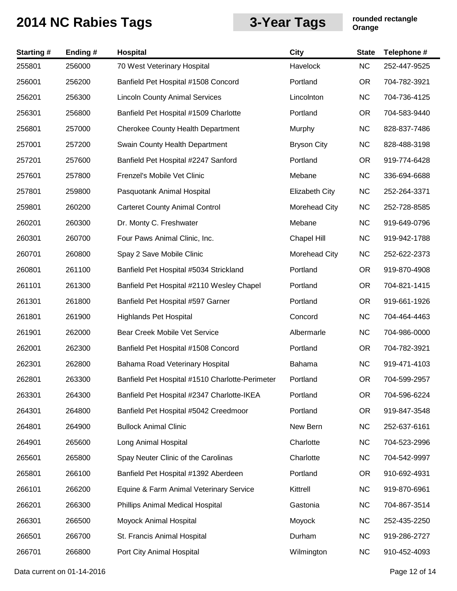| <b>Starting#</b> | Ending # | Hospital                                        | <b>City</b>           | <b>State</b> | Telephone #  |
|------------------|----------|-------------------------------------------------|-----------------------|--------------|--------------|
| 255801           | 256000   | 70 West Veterinary Hospital                     | Havelock              | <b>NC</b>    | 252-447-9525 |
| 256001           | 256200   | Banfield Pet Hospital #1508 Concord             | Portland              | <b>OR</b>    | 704-782-3921 |
| 256201           | 256300   | <b>Lincoln County Animal Services</b>           | Lincolnton            | <b>NC</b>    | 704-736-4125 |
| 256301           | 256800   | Banfield Pet Hospital #1509 Charlotte           | Portland              | <b>OR</b>    | 704-583-9440 |
| 256801           | 257000   | <b>Cherokee County Health Department</b>        | Murphy                | <b>NC</b>    | 828-837-7486 |
| 257001           | 257200   | Swain County Health Department                  | <b>Bryson City</b>    | <b>NC</b>    | 828-488-3198 |
| 257201           | 257600   | Banfield Pet Hospital #2247 Sanford             | Portland              | <b>OR</b>    | 919-774-6428 |
| 257601           | 257800   | Frenzel's Mobile Vet Clinic                     | Mebane                | <b>NC</b>    | 336-694-6688 |
| 257801           | 259800   | Pasquotank Animal Hospital                      | <b>Elizabeth City</b> | <b>NC</b>    | 252-264-3371 |
| 259801           | 260200   | <b>Carteret County Animal Control</b>           | Morehead City         | <b>NC</b>    | 252-728-8585 |
| 260201           | 260300   | Dr. Monty C. Freshwater                         | Mebane                | <b>NC</b>    | 919-649-0796 |
| 260301           | 260700   | Four Paws Animal Clinic, Inc.                   | Chapel Hill           | <b>NC</b>    | 919-942-1788 |
| 260701           | 260800   | Spay 2 Save Mobile Clinic                       | Morehead City         | <b>NC</b>    | 252-622-2373 |
| 260801           | 261100   | Banfield Pet Hospital #5034 Strickland          | Portland              | <b>OR</b>    | 919-870-4908 |
| 261101           | 261300   | Banfield Pet Hospital #2110 Wesley Chapel       | Portland              | <b>OR</b>    | 704-821-1415 |
| 261301           | 261800   | Banfield Pet Hospital #597 Garner               | Portland              | <b>OR</b>    | 919-661-1926 |
| 261801           | 261900   | <b>Highlands Pet Hospital</b>                   | Concord               | <b>NC</b>    | 704-464-4463 |
| 261901           | 262000   | Bear Creek Mobile Vet Service                   | Albermarle            | <b>NC</b>    | 704-986-0000 |
| 262001           | 262300   | Banfield Pet Hospital #1508 Concord             | Portland              | <b>OR</b>    | 704-782-3921 |
| 262301           | 262800   | Bahama Road Veterinary Hospital                 | Bahama                | <b>NC</b>    | 919-471-4103 |
| 262801           | 263300   | Banfield Pet Hospital #1510 Charlotte-Perimeter | Portland              | <b>OR</b>    | 704-599-2957 |
| 263301           | 264300   | Banfield Pet Hospital #2347 Charlotte-IKEA      | Portland              | <b>OR</b>    | 704-596-6224 |
| 264301           | 264800   | Banfield Pet Hospital #5042 Creedmoor           | Portland              | <b>OR</b>    | 919-847-3548 |
| 264801           | 264900   | <b>Bullock Animal Clinic</b>                    | New Bern              | <b>NC</b>    | 252-637-6161 |
| 264901           | 265600   | Long Animal Hospital                            | Charlotte             | <b>NC</b>    | 704-523-2996 |
| 265601           | 265800   | Spay Neuter Clinic of the Carolinas             | Charlotte             | <b>NC</b>    | 704-542-9997 |
| 265801           | 266100   | Banfield Pet Hospital #1392 Aberdeen            | Portland              | <b>OR</b>    | 910-692-4931 |
| 266101           | 266200   | Equine & Farm Animal Veterinary Service         | Kittrell              | <b>NC</b>    | 919-870-6961 |
| 266201           | 266300   | Phillips Animal Medical Hospital                | Gastonia              | <b>NC</b>    | 704-867-3514 |
| 266301           | 266500   | Moyock Animal Hospital                          | Moyock                | <b>NC</b>    | 252-435-2250 |
| 266501           | 266700   | St. Francis Animal Hospital                     | Durham                | <b>NC</b>    | 919-286-2727 |
| 266701           | 266800   | Port City Animal Hospital                       | Wilmington            | <b>NC</b>    | 910-452-4093 |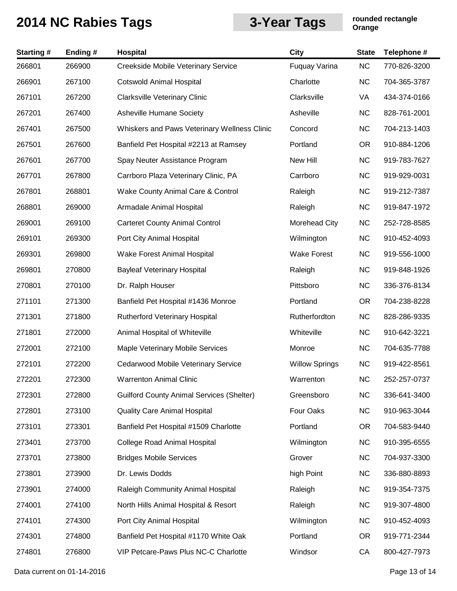| <b>Starting#</b> | Ending# | Hospital                                         | City                  | <b>State</b> | Telephone #  |
|------------------|---------|--------------------------------------------------|-----------------------|--------------|--------------|
| 266801           | 266900  | Creekside Mobile Veterinary Service              | Fuquay Varina         | <b>NC</b>    | 770-826-3200 |
| 266901           | 267100  | <b>Cotswold Animal Hospital</b>                  | Charlotte             | <b>NC</b>    | 704-365-3787 |
| 267101           | 267200  | <b>Clarksville Veterinary Clinic</b>             | Clarksville           | VA           | 434-374-0166 |
| 267201           | 267400  | Asheville Humane Society                         | Asheville             | <b>NC</b>    | 828-761-2001 |
| 267401           | 267500  | Whiskers and Paws Veterinary Wellness Clinic     | Concord               | <b>NC</b>    | 704-213-1403 |
| 267501           | 267600  | Banfield Pet Hospital #2213 at Ramsey            | Portland              | <b>OR</b>    | 910-884-1206 |
| 267601           | 267700  | Spay Neuter Assistance Program                   | New Hill              | <b>NC</b>    | 919-783-7627 |
| 267701           | 267800  | Carrboro Plaza Veterinary Clinic, PA             | Carrboro              | <b>NC</b>    | 919-929-0031 |
| 267801           | 268801  | Wake County Animal Care & Control                | Raleigh               | <b>NC</b>    | 919-212-7387 |
| 268801           | 269000  | Armadale Animal Hospital                         | Raleigh               | <b>NC</b>    | 919-847-1972 |
| 269001           | 269100  | <b>Carteret County Animal Control</b>            | <b>Morehead City</b>  | <b>NC</b>    | 252-728-8585 |
| 269101           | 269300  | Port City Animal Hospital                        | Wilmington            | <b>NC</b>    | 910-452-4093 |
| 269301           | 269800  | Wake Forest Animal Hospital                      | <b>Wake Forest</b>    | <b>NC</b>    | 919-556-1000 |
| 269801           | 270800  | <b>Bayleaf Veterinary Hospital</b>               | Raleigh               | <b>NC</b>    | 919-848-1926 |
| 270801           | 270100  | Dr. Ralph Houser                                 | Pittsboro             | <b>NC</b>    | 336-376-8134 |
| 271101           | 271300  | Banfield Pet Hospital #1436 Monroe               | Portland              | <b>OR</b>    | 704-238-8228 |
| 271301           | 271800  | <b>Rutherford Veterinary Hospital</b>            | Rutherfordton         | <b>NC</b>    | 828-286-9335 |
| 271801           | 272000  | Animal Hospital of Whiteville                    | Whiteville            | <b>NC</b>    | 910-642-3221 |
| 272001           | 272100  | Maple Veterinary Mobile Services                 | Monroe                | <b>NC</b>    | 704-635-7788 |
| 272101           | 272200  | Cedarwood Mobile Veterinary Service              | <b>Willow Springs</b> | <b>NC</b>    | 919-422-8561 |
| 272201           | 272300  | <b>Warrenton Animal Clinic</b>                   | Warrenton             | <b>NC</b>    | 252-257-0737 |
| 272301           | 272800  | <b>Guilford County Animal Services (Shelter)</b> | Greensboro            | <b>NC</b>    | 336-641-3400 |
| 272801           | 273100  | <b>Quality Care Animal Hospital</b>              | Four Oaks             | <b>NC</b>    | 910-963-3044 |
| 273101           | 273301  | Banfield Pet Hospital #1509 Charlotte            | Portland              | <b>OR</b>    | 704-583-9440 |
| 273401           | 273700  | <b>College Road Animal Hospital</b>              | Wilmington            | <b>NC</b>    | 910-395-6555 |
| 273701           | 273800  | <b>Bridges Mobile Services</b>                   | Grover                | <b>NC</b>    | 704-937-3300 |
| 273801           | 273900  | Dr. Lewis Dodds                                  | high Point            | <b>NC</b>    | 336-880-8893 |
| 273901           | 274000  | Raleigh Community Animal Hospital                | Raleigh               | <b>NC</b>    | 919-354-7375 |
| 274001           | 274100  | North Hills Animal Hospital & Resort             | Raleigh               | <b>NC</b>    | 919-307-4800 |
| 274101           | 274300  | Port City Animal Hospital                        | Wilmington            | <b>NC</b>    | 910-452-4093 |
| 274301           | 274800  | Banfield Pet Hospital #1170 White Oak            | Portland              | OR.          | 919-771-2344 |
| 274801           | 276800  | VIP Petcare-Paws Plus NC-C Charlotte             | Windsor               | CA           | 800-427-7973 |